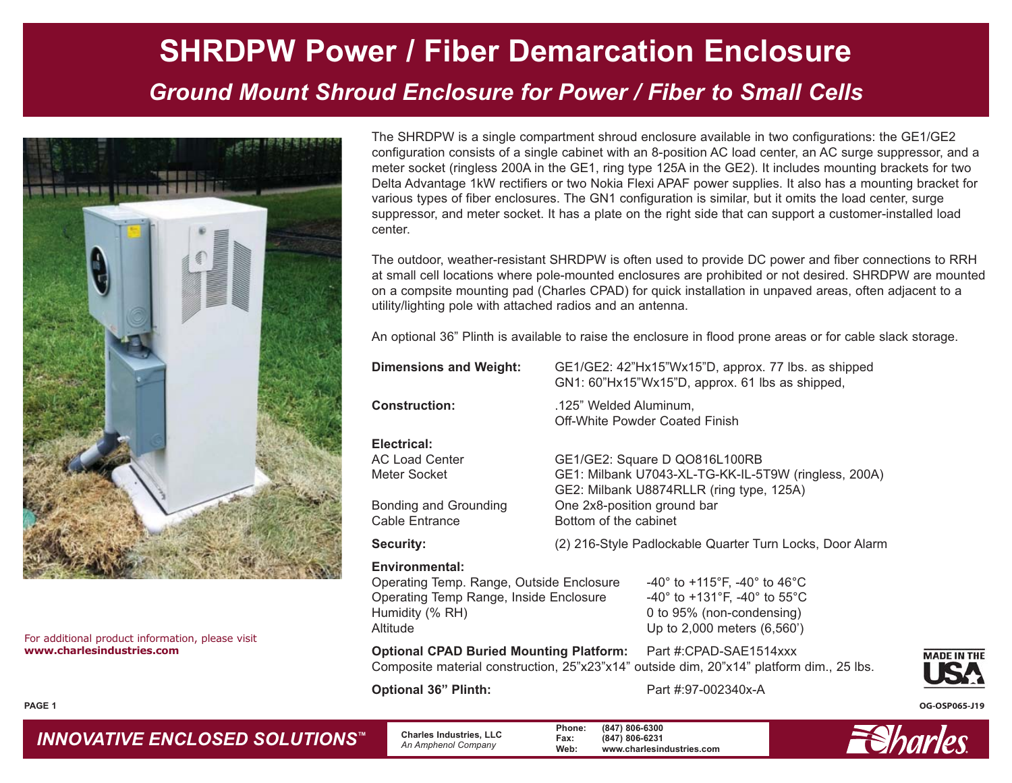## **SHRDPW Power / Fiber Demarcation Enclosure** *Ground Mount Shroud Enclosure for Power / Fiber to Small Cells*



For additional product information, please visit **www.charlesindustries.com**

The SHRDPW is a single compartment shroud enclosure available in two configurations: the GE1/GE2 configuration consists of a single cabinet with an 8-position AC load center, an AC surge suppressor, and a meter socket (ringless 200A in the GE1, ring type 125A in the GE2). It includes mounting brackets for two Delta Advantage 1kW rectifiers or two Nokia Flexi APAF power supplies. It also has a mounting bracket for various types of fiber enclosures. The GN1 configuration is similar, but it omits the load center, surge suppressor, and meter socket. It has a plate on the right side that can support a customer-installed load center.

The outdoor, weather-resistant SHRDPW is often used to provide DC power and fiber connections to RRH at small cell locations where pole-mounted enclosures are prohibited or not desired. SHRDPW are mounted on a compsite mounting pad (Charles CPAD) for quick installation in unpaved areas, often adjacent to a utility/lighting pole with attached radios and an antenna.

An optional 36" Plinth is available to raise the enclosure in flood prone areas or for cable slack storage.

| <b>Dimensions and Weight:</b>                                                                                                                                                                                                                                                                                                          | GE1/GE2: 42"Hx15"Wx15"D, approx. 77 lbs. as shipped<br>GN1: 60"Hx15"Wx15"D, approx. 61 lbs as shipped,                                                                                    |                                                                                                                                                                                                          |  |  |
|----------------------------------------------------------------------------------------------------------------------------------------------------------------------------------------------------------------------------------------------------------------------------------------------------------------------------------------|-------------------------------------------------------------------------------------------------------------------------------------------------------------------------------------------|----------------------------------------------------------------------------------------------------------------------------------------------------------------------------------------------------------|--|--|
| <b>Construction:</b>                                                                                                                                                                                                                                                                                                                   | .125" Welded Aluminum,<br><b>Off-White Powder Coated Finish</b>                                                                                                                           |                                                                                                                                                                                                          |  |  |
| Electrical:<br><b>AC Load Center</b><br>Meter Socket<br>Bonding and Grounding<br>Cable Entrance                                                                                                                                                                                                                                        | GE1/GE2: Square D QO816L100RB<br>GE1: Milbank U7043-XL-TG-KK-IL-5T9W (ringless, 200A)<br>GE2: Milbank U8874RLLR (ring type, 125A)<br>One 2x8-position ground bar<br>Bottom of the cabinet |                                                                                                                                                                                                          |  |  |
| <b>Security:</b>                                                                                                                                                                                                                                                                                                                       | (2) 216-Style Padlockable Quarter Turn Locks, Door Alarm                                                                                                                                  |                                                                                                                                                                                                          |  |  |
| Environmental:<br>Operating Temp. Range, Outside Enclosure<br>Operating Temp Range, Inside Enclosure<br>Humidity (% RH)<br>Altitude                                                                                                                                                                                                    |                                                                                                                                                                                           | $-40^{\circ}$ to $+115^{\circ}$ F, $-40^{\circ}$ to $46^{\circ}$ C<br>-40 $^{\circ}$ to +131 $^{\circ}$ F, -40 $^{\circ}$ to 55 $^{\circ}$ C<br>0 to 95% (non-condensing)<br>Up to 2,000 meters (6,560') |  |  |
| $\bigcap_{n=1}^{\infty}$ and $\bigcap_{n=1}^{\infty}$ $\bigcap_{n=1}^{\infty}$ and $\bigcap_{n=1}^{\infty}$ and $\bigcap_{n=1}^{\infty}$ and $\bigcap_{n=1}^{\infty}$ and $\bigcap_{n=1}^{\infty}$ and $\bigcap_{n=1}^{\infty}$ and $\bigcap_{n=1}^{\infty}$ and $\bigcap_{n=1}^{\infty}$ and $\bigcap_{n=1}^{\infty}$ and $\bigcap_{$ |                                                                                                                                                                                           | $D_{\text{out}}$ 4.0 $D_{\text{A}}$ $D_{\text{A}}$ $D_{\text{A}}$ $D_{\text{A}}$ $D_{\text{A}}$ $D_{\text{A}}$                                                                                           |  |  |

**Optional CPAD Buried Mounting Platform:** Part #:CPAD-SAE1514xxx Composite material construction, 25"x23"x14" outside dim, 20"x14" platform dim., 25 lbs.

**Optional 36" Plinth:** Part #:97-002340x-A



**OG-OSP065-J19**

**PAGE 1**

### *INNOVATIVE ENCLOSED SOLUTIONS ™*

 **Charles Industries, LLC** *An Amphenol Company*

**Phone: (847) 806-6300 Fax: (847) 806-6231 Web: www.charlesindustries.com**